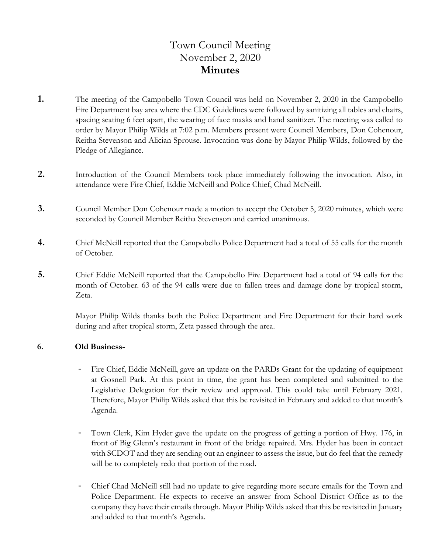## Town Council Meeting November 2, 2020 **Minutes**

- **1.** The meeting of the Campobello Town Council was held on November 2, 2020 in the Campobello Fire Department bay area where the CDC Guidelines were followed by sanitizing all tables and chairs, spacing seating 6 feet apart, the wearing of face masks and hand sanitizer. The meeting was called to order by Mayor Philip Wilds at 7:02 p.m. Members present were Council Members, Don Cohenour, Reitha Stevenson and Alician Sprouse. Invocation was done by Mayor Philip Wilds, followed by the Pledge of Allegiance.
- **2.** Introduction of the Council Members took place immediately following the invocation. Also, in attendance were Fire Chief, Eddie McNeill and Police Chief, Chad McNeill.
- **3.** Council Member Don Cohenour made a motion to accept the October 5, 2020 minutes, which were seconded by Council Member Reitha Stevenson and carried unanimous.
- **4.** Chief McNeill reported that the Campobello Police Department had a total of 55 calls for the month of October.
- **5.** Chief Eddie McNeill reported that the Campobello Fire Department had a total of 94 calls for the month of October. 63 of the 94 calls were due to fallen trees and damage done by tropical storm, Zeta.

Mayor Philip Wilds thanks both the Police Department and Fire Department for their hard work during and after tropical storm, Zeta passed through the area.

#### **6. Old Business-**

- Fire Chief, Eddie McNeill, gave an update on the PARDs Grant for the updating of equipment at Gosnell Park. At this point in time, the grant has been completed and submitted to the Legislative Delegation for their review and approval. This could take until February 2021. Therefore, Mayor Philip Wilds asked that this be revisited in February and added to that month's Agenda.
- Town Clerk, Kim Hyder gave the update on the progress of getting a portion of Hwy. 176, in front of Big Glenn's restaurant in front of the bridge repaired. Mrs. Hyder has been in contact with SCDOT and they are sending out an engineer to assess the issue, but do feel that the remedy will be to completely redo that portion of the road.
- Chief Chad McNeill still had no update to give regarding more secure emails for the Town and Police Department. He expects to receive an answer from School District Office as to the company they have their emails through. Mayor Philip Wilds asked that this be revisited in January and added to that month's Agenda.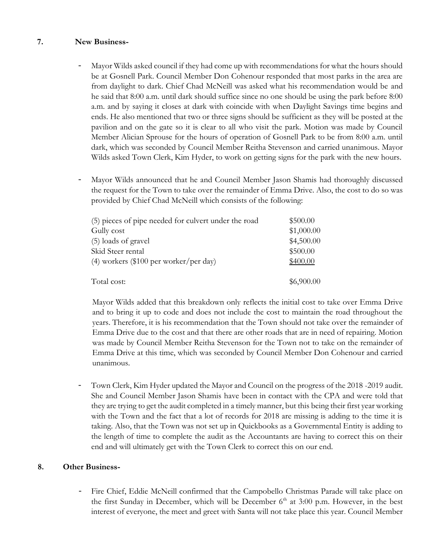#### **7. New Business-**

- Mayor Wilds asked council if they had come up with recommendations for what the hours should be at Gosnell Park. Council Member Don Cohenour responded that most parks in the area are from daylight to dark. Chief Chad McNeill was asked what his recommendation would be and he said that 8:00 a.m. until dark should suffice since no one should be using the park before 8:00 a.m. and by saying it closes at dark with coincide with when Daylight Savings time begins and ends. He also mentioned that two or three signs should be sufficient as they will be posted at the pavilion and on the gate so it is clear to all who visit the park. Motion was made by Council Member Alician Sprouse for the hours of operation of Gosnell Park to be from 8:00 a.m. until dark, which was seconded by Council Member Reitha Stevenson and carried unanimous. Mayor Wilds asked Town Clerk, Kim Hyder, to work on getting signs for the park with the new hours.
- Mayor Wilds announced that he and Council Member Jason Shamis had thoroughly discussed the request for the Town to take over the remainder of Emma Drive. Also, the cost to do so was provided by Chief Chad McNeill which consists of the following:

| (5) pieces of pipe needed for culvert under the road | \$500.00   |
|------------------------------------------------------|------------|
| Gully cost                                           | \$1,000.00 |
| (5) loads of gravel                                  | \$4,500.00 |
| Skid Steer rental                                    | \$500.00   |
| $(4)$ workers (\$100 per worker/per day)             | \$400.00   |
| Total cost:                                          | \$6,900.00 |

 Mayor Wilds added that this breakdown only reflects the initial cost to take over Emma Drive and to bring it up to code and does not include the cost to maintain the road throughout the years. Therefore, it is his recommendation that the Town should not take over the remainder of Emma Drive due to the cost and that there are other roads that are in need of repairing. Motion was made by Council Member Reitha Stevenson for the Town not to take on the remainder of Emma Drive at this time, which was seconded by Council Member Don Cohenour and carried unanimous.

- Town Clerk, Kim Hyder updated the Mayor and Council on the progress of the 2018 -2019 audit. She and Council Member Jason Shamis have been in contact with the CPA and were told that they are trying to get the audit completed in a timely manner, but this being their first year working with the Town and the fact that a lot of records for 2018 are missing is adding to the time it is taking. Also, that the Town was not set up in Quickbooks as a Governmental Entity is adding to the length of time to complete the audit as the Accountants are having to correct this on their end and will ultimately get with the Town Clerk to correct this on our end.

#### **8. Other Business-**

Fire Chief, Eddie McNeill confirmed that the Campobello Christmas Parade will take place on the first Sunday in December, which will be December  $6<sup>th</sup>$  at 3:00 p.m. However, in the best interest of everyone, the meet and greet with Santa will not take place this year. Council Member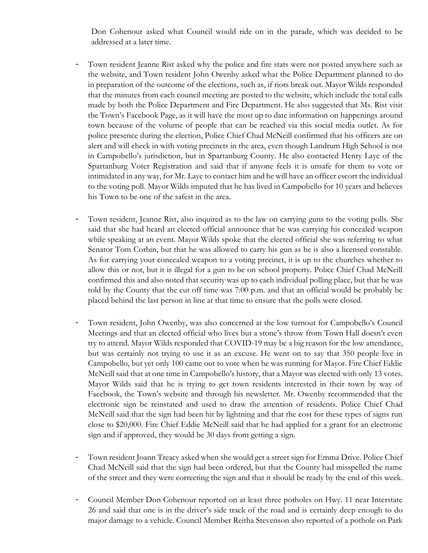Don Cohenour asked what Council would ride on in the parade, which was decided to be addressed at a later time.

- Town resident Jeanne Rist asked why the police and fire stats were not posted anywhere such as the website, and Town resident John Owenby asked what the Police Department planned to do in preparation of the outcome of the elections, such as, if riots break out. Mayor Wilds responded that the minutes from each council meeting are posted to the website, which include the total calls made by both the Police Department and Fire Department. He also suggested that Ms. Rist visit the Town's Facebook Page, as it will have the most up to date information on happenings around town because of the volume of people that can be reached via this social media outlet. As for police presence during the election, Police Chief Chad McNeill confirmed that his officers are on alert and will check in with voting precincts in the area, even though Landrum High School is not in Campobello's jurisdiction, but in Spartanburg County. He also contacted Henry Laye of the Spartanburg Voter Registration and said that if anyone feels it is unsafe for them to vote or intimidated in any way, for Mr. Laye to contact him and he will have an officer escort the individual to the voting poll. Mayor Wilds imputed that he has lived in Campobello for 10 years and believes his Town to be one of the safest in the area.
- Town resident, Jeanne Rist, also inquired as to the law on carrying guns to the voting polls. She said that she had heard an elected official announce that he was carrying his concealed weapon while speaking at an event. Mayor Wilds spoke that the elected official she was referring to what Senator Tom Corbin, but that he was allowed to carry his gun as he is also a licensed constable. As for carrying your concealed weapon to a voting precinct, it is up to the churches whether to allow this or not, but it is illegal for a gun to be on school property. Police Chief Chad McNeill confirmed this and also noted that security was up to each individual polling place, but that he was told by the County that the cut off time was 7:00 p.m. and that an official would be probably be placed behind the last person in line at that time to ensure that the polls were closed.
- Town resident, John Owenby, was also concerned at the low turnout for Campobello's Council Meetings and that an elected official who lives but a stone's throw from Town Hall doesn't even try to attend. Mayor Wilds responded that COVID-19 may be a big reason for the low attendance, but was certainly not trying to use it as an excuse. He went on to say that 350 people live in Campobello, but yet only 100 came out to vote when he was running for Mayor. Fire Chief Eddie McNeill said that at one time in Campobello's history, that a Mayor was elected with only 13 votes. Mayor Wilds said that he is trying to get town residents interested in their town by way of Facebook, the Town's website and through his newsletter. Mr. Owenby recommended that the electronic sign be reinstated and used to draw the attention of residents. Police Chief Chad McNeill said that the sign had been hit by lightning and that the cost for these types of signs run close to \$20,000. Fire Chief Eddie McNeill said that he had applied for a grant for an electronic sign and if approved, they would be 30 days from getting a sign.
- Town resident Joann Treacy asked when she would get a street sign for Emma Drive. Police Chief Chad McNeill said that the sign had been ordered, but that the County had misspelled the name of the street and they were correcting the sign and that it should be ready by the end of this week.
- Council Member Don Cohenour reported on at least three potholes on Hwy. 11 near Interstate 26 and said that one is in the driver's side track of the road and is certainly deep enough to do major damage to a vehicle. Council Member Reitha Stevenson also reported of a pothole on Park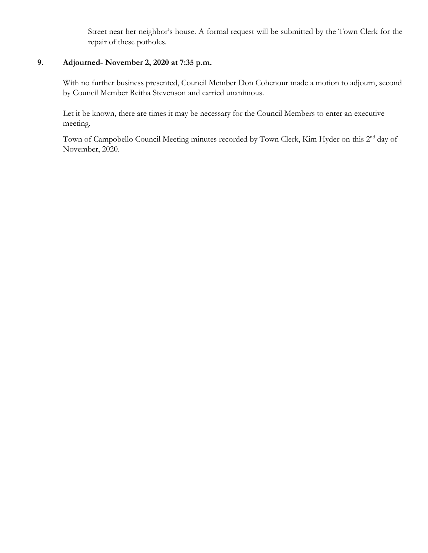Street near her neighbor's house. A formal request will be submitted by the Town Clerk for the repair of these potholes.

#### **9. Adjourned- November 2, 2020 at 7:35 p.m.**

With no further business presented, Council Member Don Cohenour made a motion to adjourn, second by Council Member Reitha Stevenson and carried unanimous.

 Let it be known, there are times it may be necessary for the Council Members to enter an executive meeting.

Town of Campobello Council Meeting minutes recorded by Town Clerk, Kim Hyder on this 2<sup>nd</sup> day of November, 2020.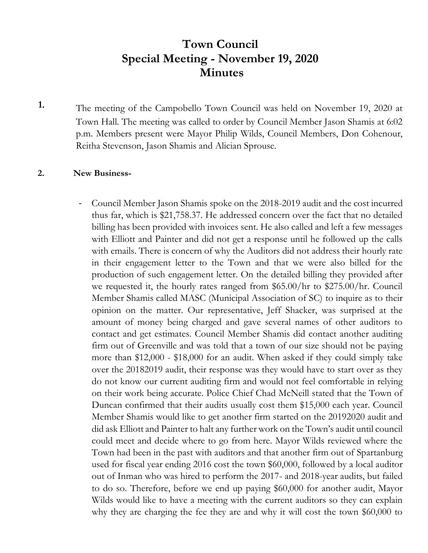# **Town Council Special Meeting - November 19, 2020 Minutes**

**1.** The meeting of the Campobello Town Council was held on November 19, 2020 at Town Hall. The meeting was called to order by Council Member Jason Shamis at 6:02 p.m. Members present were Mayor Philip Wilds, Council Members, Don Cohenour, Reitha Stevenson, Jason Shamis and Alician Sprouse.

#### **2. New Business-**

- Council Member Jason Shamis spoke on the 2018-2019 audit and the cost incurred thus far, which is \$21,758.37. He addressed concern over the fact that no detailed billing has been provided with invoices sent. He also called and left a few messages with Elliott and Painter and did not get a response until he followed up the calls with emails. There is concern of why the Auditors did not address their hourly rate in their engagement letter to the Town and that we were also billed for the production of such engagement letter. On the detailed billing they provided after we requested it, the hourly rates ranged from \$65.00/hr to \$275.00/hr. Council Member Shamis called MASC (Municipal Association of SC) to inquire as to their opinion on the matter. Our representative, Jeff Shacker, was surprised at the amount of money being charged and gave several names of other auditors to contact and get estimates. Council Member Shamis did contact another auditing firm out of Greenville and was told that a town of our size should not be paying more than \$12,000 - \$18,000 for an audit. When asked if they could simply take over the 20182019 audit, their response was they would have to start over as they do not know our current auditing firm and would not feel comfortable in relying on their work being accurate. Police Chief Chad McNeill stated that the Town of Duncan confirmed that their audits usually cost them \$15,000 each year. Council Member Shamis would like to get another firm started on the 20192020 audit and did ask Elliott and Painter to halt any further work on the Town's audit until council could meet and decide where to go from here. Mayor Wilds reviewed where the Town had been in the past with auditors and that another firm out of Spartanburg used for fiscal year ending 2016 cost the town \$60,000, followed by a local auditor out of Inman who was hired to perform the 2017- and 2018-year audits, but failed to do so. Therefore, before we end up paying \$60,000 for another audit, Mayor Wilds would like to have a meeting with the current auditors so they can explain why they are charging the fee they are and why it will cost the town \$60,000 to